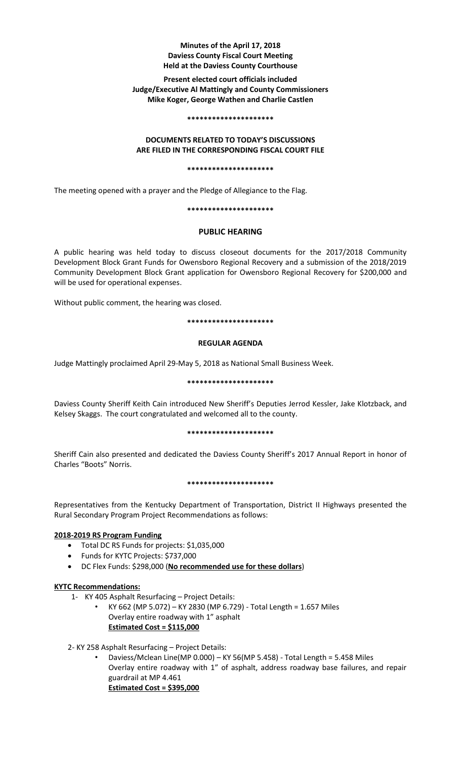## **Minutes of the April 17, 2018 Daviess County Fiscal Court Meeting Held at the Daviess County Courthouse**

## **Present elected court officials included Judge/Executive Al Mattingly and County Commissioners Mike Koger, George Wathen and Charlie Castlen**

### **\*\*\*\*\*\*\*\*\*\*\*\*\*\*\*\*\*\*\*\*\***

## **DOCUMENTS RELATED TO TODAY'S DISCUSSIONS ARE FILED IN THE CORRESPONDING FISCAL COURT FILE**

### **\*\*\*\*\*\*\*\*\*\*\*\*\*\*\*\*\*\*\*\*\***

The meeting opened with a prayer and the Pledge of Allegiance to the Flag.

## **\*\*\*\*\*\*\*\*\*\*\*\*\*\*\*\*\*\*\*\*\***

# **PUBLIC HEARING**

A public hearing was held today to discuss closeout documents for the 2017/2018 Community Development Block Grant Funds for Owensboro Regional Recovery and a submission of the 2018/2019 Community Development Block Grant application for Owensboro Regional Recovery for \$200,000 and will be used for operational expenses.

Without public comment, the hearing was closed.

## **\*\*\*\*\*\*\*\*\*\*\*\*\*\*\*\*\*\*\*\*\***

## **REGULAR AGENDA**

Judge Mattingly proclaimed April 29-May 5, 2018 as National Small Business Week.

## **\*\*\*\*\*\*\*\*\*\*\*\*\*\*\*\*\*\*\*\*\***

Daviess County Sheriff Keith Cain introduced New Sheriff's Deputies Jerrod Kessler, Jake Klotzback, and Kelsey Skaggs. The court congratulated and welcomed all to the county.

## **\*\*\*\*\*\*\*\*\*\*\*\*\*\*\*\*\*\*\*\*\***

Sheriff Cain also presented and dedicated the Daviess County Sheriff's 2017 Annual Report in honor of Charles "Boots" Norris.

## **\*\*\*\*\*\*\*\*\*\*\*\*\*\*\*\*\*\*\*\*\***

Representatives from the Kentucky Department of Transportation, District II Highways presented the Rural Secondary Program Project Recommendations as follows:

## **2018-2019 RS Program Funding**

- Total DC RS Funds for projects: \$1,035,000
- Funds for KYTC Projects: \$737,000
- DC Flex Funds: \$298,000 (**No recommended use for these dollars**)

# **KYTC Recommendations:**

- 1- KY 405 Asphalt Resurfacing Project Details:
	- KY 662 (MP 5.072) KY 2830 (MP 6.729) Total Length = 1.657 Miles Overlay entire roadway with 1" asphalt **Estimated Cost = \$115,000**
- 2- KY 258 Asphalt Resurfacing Project Details:
	- Daviess/Mclean Line(MP 0.000) KY 56(MP 5.458) Total Length = 5.458 Miles Overlay entire roadway with 1" of asphalt, address roadway base failures, and repair guardrail at MP 4.461 **Estimated Cost = \$395,000**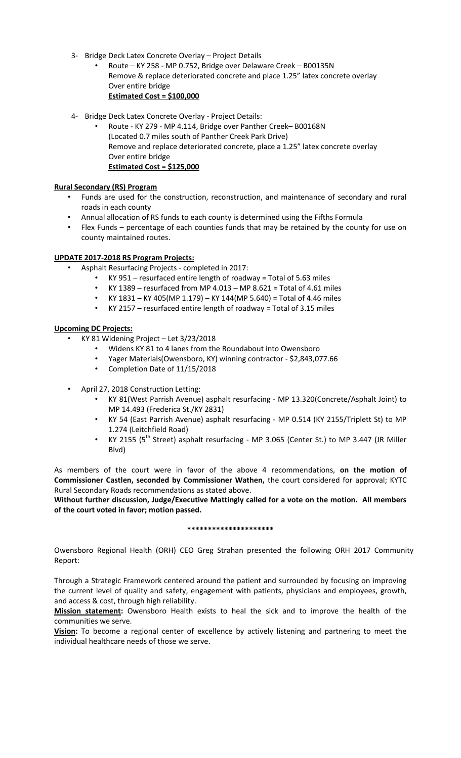- 3- Bridge Deck Latex Concrete Overlay Project Details
	- Route KY 258 MP 0.752, Bridge over Delaware Creek B00135N Remove & replace deteriorated concrete and place 1.25" latex concrete overlay Over entire bridge **Estimated Cost = \$100,000**
- 4- Bridge Deck Latex Concrete Overlay Project Details:
	- Route KY 279 MP 4.114, Bridge over Panther Creek– B00168N (Located 0.7 miles south of Panther Creek Park Drive) Remove and replace deteriorated concrete, place a 1.25" latex concrete overlay Over entire bridge **Estimated Cost = \$125,000**

## **Rural Secondary (RS) Program**

- Funds are used for the construction, reconstruction, and maintenance of secondary and rural roads in each county
- Annual allocation of RS funds to each county is determined using the Fifths Formula
- Flex Funds percentage of each counties funds that may be retained by the county for use on county maintained routes.

## **UPDATE 2017-2018 RS Program Projects:**

- Asphalt Resurfacing Projects completed in 2017:
	- $KY$  951 resurfaced entire length of roadway = Total of 5.63 miles
	- KY 1389 resurfaced from MP 4.013 MP 8.621 = Total of 4.61 miles
	- KY 1831 KY 405(MP 1.179) KY 144(MP 5.640) = Total of 4.46 miles
	- KY 2157 resurfaced entire length of roadway = Total of 3.15 miles

## **Upcoming DC Projects:**

- KY 81 Widening Project Let 3/23/2018
	- Widens KY 81 to 4 lanes from the Roundabout into Owensboro
	- Yager Materials(Owensboro, KY) winning contractor \$2,843,077.66
	- Completion Date of 11/15/2018
- April 27, 2018 Construction Letting:
	- KY 81(West Parrish Avenue) asphalt resurfacing MP 13.320(Concrete/Asphalt Joint) to MP 14.493 (Frederica St./KY 2831)
	- KY 54 (East Parrish Avenue) asphalt resurfacing MP 0.514 (KY 2155/Triplett St) to MP 1.274 (Leitchfield Road)
	- KY 2155 (5<sup>th</sup> Street) asphalt resurfacing MP 3.065 (Center St.) to MP 3.447 (JR Miller Blvd)

As members of the court were in favor of the above 4 recommendations, **on the motion of Commissioner Castlen, seconded by Commissioner Wathen,** the court considered for approval; KYTC Rural Secondary Roads recommendations as stated above.

**Without further discussion, Judge/Executive Mattingly called for a vote on the motion. All members of the court voted in favor; motion passed.** 

## **\*\*\*\*\*\*\*\*\*\*\*\*\*\*\*\*\*\*\*\*\***

Owensboro Regional Health (ORH) CEO Greg Strahan presented the following ORH 2017 Community Report:

Through a Strategic Framework centered around the patient and surrounded by focusing on improving the current level of quality and safety, engagement with patients, physicians and employees, growth, and access & cost, through high reliability.

**Mission statement:** Owensboro Health exists to heal the sick and to improve the health of the communities we serve.

**Vision:** To become a regional center of excellence by actively listening and partnering to meet the individual healthcare needs of those we serve.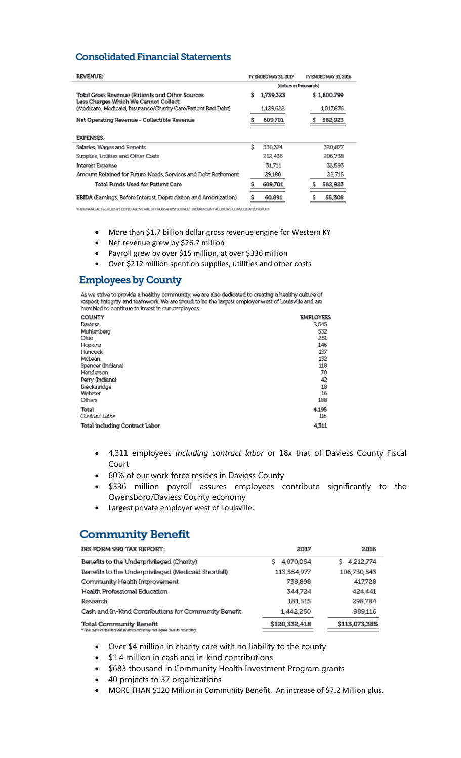# **Consolidated Financial Statements**

| REVENUE:                                                                                 | FY ENDED MAY 31, 2017 |                        | FY ENDED MAY 31, 2016 |             |
|------------------------------------------------------------------------------------------|-----------------------|------------------------|-----------------------|-------------|
|                                                                                          |                       | (dollars in thousands) |                       |             |
| Total Gross Revenue (Patients and Other Sources<br>Less Charges Which We Cannot Collect: | s                     | 1,739,323              |                       | \$1,600,799 |
| (Medicare, Medicaid, Insurance/Charity Care/Patient Bad Debt)                            |                       | 1,129,622              |                       | 1017,876    |
| Net Operating Revenue - Collectible Revenue                                              |                       | 609,701                |                       | 582,923     |
| <b>EXPENSES:</b>                                                                         |                       |                        |                       |             |
| Salaries, Wages and Benefits                                                             | \$                    | 336,374                |                       | 320,877     |
| Supplies, Utilities and Other Costs                                                      |                       | 212,436                |                       | 206,738     |
| Interest Expense                                                                         |                       | 31.711                 |                       | 32,593      |
| Amount Retained for Future Needs, Services and Debt Retirement                           |                       | 29,180                 |                       | 22,715      |
| Total Funds Used for Patient Care                                                        |                       | 609,701                |                       | 582,923     |
| <b>EBIDA</b> (Earnings, Before Interest, Depreciation and Amortization)                  | S                     | 60,891                 | Ŝ                     | 55,308      |

THE FINANCIAL HIGHLIGHTS LISTED ABOVE ARE IN THOUSANDS/ SOURCE: INDEPENDENT AUDITOR'S CONSOLIDATED REPORT

- More than \$1.7 billion dollar gross revenue engine for Western KY
- Net revenue grew by \$26.7 million
- Payroll grew by over \$15 million, at over \$336 million
- Over \$212 million spent on supplies, utilities and other costs

# **Employees by County**

As we strive to provide a healthy community, we are also dedicated to creating a healthy culture of<br>respect, integrity and teamwork. We are proud to be the largest employer west of Louisville and are humbled to continue to invest in our employees.

| COUNTY                         | <b>EMPLOYEES</b> |
|--------------------------------|------------------|
| Daviess                        | 2.545            |
| Muhlenberg                     | 532              |
| Ohio                           | 251              |
| Hopkins                        | 146              |
| Hancock                        | 137              |
| McLean                         | 132              |
| Spencer (Indiana)              | 118              |
| Henderson                      | 70               |
| Perry (Indiana)                | 42               |
| Breckinridge                   | 18               |
| Webster                        | 16               |
| Others                         | 188              |
| Total                          | 4.195            |
| Contract Labor                 | 116              |
| Total including Contract Labor | 4,311            |
|                                |                  |

- 4,311 employees *including contract labor* or 18x that of Daviess County Fiscal Court
- 60% of our work force resides in Daviess County
- \$336 million payroll assures employees contribute significantly to the Owensboro/Daviess County economy
- Largest private employer west of Louisville.

# **Community Benefit**

| IRS FORM 990 TAX REPORT:                                                                             | 2017           | 2016           |
|------------------------------------------------------------------------------------------------------|----------------|----------------|
| Benefits to the Underprivileged (Charity)                                                            | 4.070.054<br>s | 4,212,774<br>s |
| Benefits to the Underprivileged (Medicaid Shortfall)                                                 | 113,554,977    | 106,730,543    |
| Community Health Improvement                                                                         | 738,898        | 417,728        |
| Health Professional Education                                                                        | 344.724        | 424,441        |
| Research                                                                                             | 181,515        | 298,784        |
| Cash and In-Kind Contributions for Community Benefit                                                 | 1,442,250      | 989,116        |
| <b>Total Community Benefit</b><br>* The sum of the Individual amounts may not agree due to rounding. | \$120,332,418  | \$113,073,385  |

- Over \$4 million in charity care with no liability to the county
- $\bullet$  \$1.4 million in cash and in-kind contributions
- \$683 thousand in Community Health Investment Program grants
- 40 projects to 37 organizations
- MORE THAN \$120 Million in Community Benefit. An increase of \$7.2 Million plus.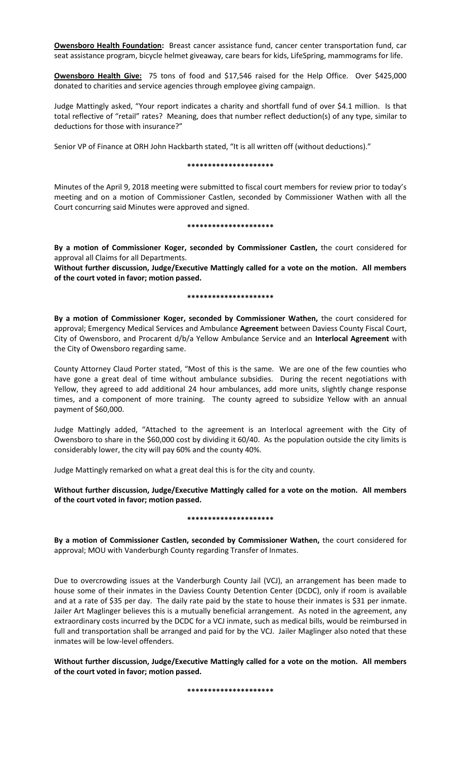**Owensboro Health Foundation:** Breast cancer assistance fund, cancer center transportation fund, car seat assistance program, bicycle helmet giveaway, care bears for kids, LifeSpring, mammograms for life.

**Owensboro Health Give:** 75 tons of food and \$17,546 raised for the Help Office. Over \$425,000 donated to charities and service agencies through employee giving campaign.

Judge Mattingly asked, "Your report indicates a charity and shortfall fund of over \$4.1 million. Is that total reflective of "retail" rates? Meaning, does that number reflect deduction(s) of any type, similar to deductions for those with insurance?"

Senior VP of Finance at ORH John Hackbarth stated, "It is all written off (without deductions)."

### **\*\*\*\*\*\*\*\*\*\*\*\*\*\*\*\*\*\*\*\*\***

Minutes of the April 9, 2018 meeting were submitted to fiscal court members for review prior to today's meeting and on a motion of Commissioner Castlen, seconded by Commissioner Wathen with all the Court concurring said Minutes were approved and signed.

### **\*\*\*\*\*\*\*\*\*\*\*\*\*\*\*\*\*\*\*\*\***

**By a motion of Commissioner Koger, seconded by Commissioner Castlen,** the court considered for approval all Claims for all Departments.

**Without further discussion, Judge/Executive Mattingly called for a vote on the motion. All members of the court voted in favor; motion passed.** 

### **\*\*\*\*\*\*\*\*\*\*\*\*\*\*\*\*\*\*\*\*\***

**By a motion of Commissioner Koger, seconded by Commissioner Wathen,** the court considered for approval; Emergency Medical Services and Ambulance **Agreement** between Daviess County Fiscal Court, City of Owensboro, and Procarent d/b/a Yellow Ambulance Service and an **Interlocal Agreement** with the City of Owensboro regarding same.

County Attorney Claud Porter stated, "Most of this is the same. We are one of the few counties who have gone a great deal of time without ambulance subsidies. During the recent negotiations with Yellow, they agreed to add additional 24 hour ambulances, add more units, slightly change response times, and a component of more training. The county agreed to subsidize Yellow with an annual payment of \$60,000.

Judge Mattingly added, "Attached to the agreement is an Interlocal agreement with the City of Owensboro to share in the \$60,000 cost by dividing it 60/40. As the population outside the city limits is considerably lower, the city will pay 60% and the county 40%.

Judge Mattingly remarked on what a great deal this is for the city and county.

**Without further discussion, Judge/Executive Mattingly called for a vote on the motion. All members of the court voted in favor; motion passed.** 

### **\*\*\*\*\*\*\*\*\*\*\*\*\*\*\*\*\*\*\*\*\***

**By a motion of Commissioner Castlen, seconded by Commissioner Wathen,** the court considered for approval; MOU with Vanderburgh County regarding Transfer of Inmates.

Due to overcrowding issues at the Vanderburgh County Jail (VCJ), an arrangement has been made to house some of their inmates in the Daviess County Detention Center (DCDC), only if room is available and at a rate of \$35 per day. The daily rate paid by the state to house their inmates is \$31 per inmate. Jailer Art Maglinger believes this is a mutually beneficial arrangement. As noted in the agreement, any extraordinary costs incurred by the DCDC for a VCJ inmate, such as medical bills, would be reimbursed in full and transportation shall be arranged and paid for by the VCJ. Jailer Maglinger also noted that these inmates will be low-level offenders.

**Without further discussion, Judge/Executive Mattingly called for a vote on the motion. All members of the court voted in favor; motion passed.**

**\*\*\*\*\*\*\*\*\*\*\*\*\*\*\*\*\*\*\*\*\***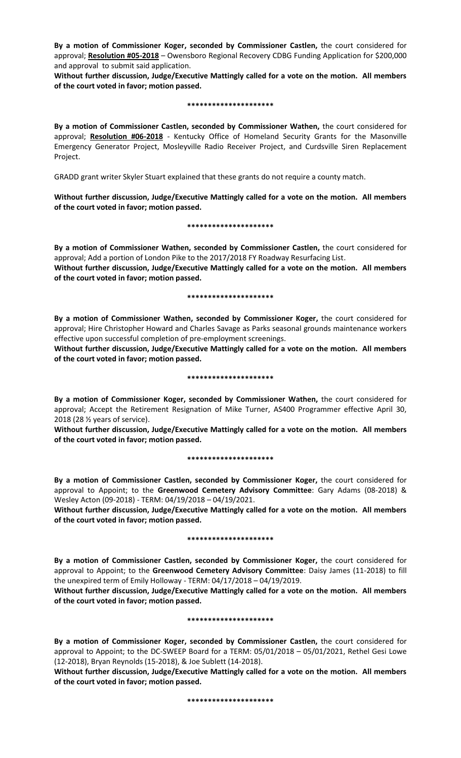**By a motion of Commissioner Koger, seconded by Commissioner Castlen,** the court considered for approval; **Resolution #05-2018** – Owensboro Regional Recovery CDBG Funding Application for \$200,000 and approval to submit said application.

**Without further discussion, Judge/Executive Mattingly called for a vote on the motion. All members of the court voted in favor; motion passed.** 

#### **\*\*\*\*\*\*\*\*\*\*\*\*\*\*\*\*\*\*\*\*\***

**By a motion of Commissioner Castlen, seconded by Commissioner Wathen,** the court considered for approval; **Resolution #06-2018** - Kentucky Office of Homeland Security Grants for the Masonville Emergency Generator Project, Mosleyville Radio Receiver Project, and Curdsville Siren Replacement Project.

GRADD grant writer Skyler Stuart explained that these grants do not require a county match.

**Without further discussion, Judge/Executive Mattingly called for a vote on the motion. All members of the court voted in favor; motion passed.** 

#### **\*\*\*\*\*\*\*\*\*\*\*\*\*\*\*\*\*\*\*\*\***

**By a motion of Commissioner Wathen, seconded by Commissioner Castlen,** the court considered for approval; Add a portion of London Pike to the 2017/2018 FY Roadway Resurfacing List. **Without further discussion, Judge/Executive Mattingly called for a vote on the motion. All members of the court voted in favor; motion passed.** 

### **\*\*\*\*\*\*\*\*\*\*\*\*\*\*\*\*\*\*\*\*\***

**By a motion of Commissioner Wathen, seconded by Commissioner Koger,** the court considered for approval; Hire Christopher Howard and Charles Savage as Parks seasonal grounds maintenance workers effective upon successful completion of pre-employment screenings.

**Without further discussion, Judge/Executive Mattingly called for a vote on the motion. All members of the court voted in favor; motion passed.** 

#### **\*\*\*\*\*\*\*\*\*\*\*\*\*\*\*\*\*\*\*\*\***

**By a motion of Commissioner Koger, seconded by Commissioner Wathen,** the court considered for approval; Accept the Retirement Resignation of Mike Turner, AS400 Programmer effective April 30, 2018 (28 ½ years of service).

**Without further discussion, Judge/Executive Mattingly called for a vote on the motion. All members of the court voted in favor; motion passed.** 

### **\*\*\*\*\*\*\*\*\*\*\*\*\*\*\*\*\*\*\*\*\***

**By a motion of Commissioner Castlen, seconded by Commissioner Koger,** the court considered for approval to Appoint; to the **Greenwood Cemetery Advisory Committee**: Gary Adams (08-2018) & Wesley Acton (09-2018) - TERM: 04/19/2018 – 04/19/2021.

**Without further discussion, Judge/Executive Mattingly called for a vote on the motion. All members of the court voted in favor; motion passed.**

### **\*\*\*\*\*\*\*\*\*\*\*\*\*\*\*\*\*\*\*\*\***

**By a motion of Commissioner Castlen, seconded by Commissioner Koger,** the court considered for approval to Appoint; to the **Greenwood Cemetery Advisory Committee**: Daisy James (11-2018) to fill the unexpired term of Emily Holloway - TERM: 04/17/2018 – 04/19/2019.

**Without further discussion, Judge/Executive Mattingly called for a vote on the motion. All members of the court voted in favor; motion passed.** 

### **\*\*\*\*\*\*\*\*\*\*\*\*\*\*\*\*\*\*\*\*\***

**By a motion of Commissioner Koger, seconded by Commissioner Castlen,** the court considered for approval to Appoint; to the DC-SWEEP Board for a TERM: 05/01/2018 – 05/01/2021, Rethel Gesi Lowe (12-2018), Bryan Reynolds (15-2018), & Joe Sublett (14-2018).

**Without further discussion, Judge/Executive Mattingly called for a vote on the motion. All members of the court voted in favor; motion passed.** 

**\*\*\*\*\*\*\*\*\*\*\*\*\*\*\*\*\*\*\*\*\***